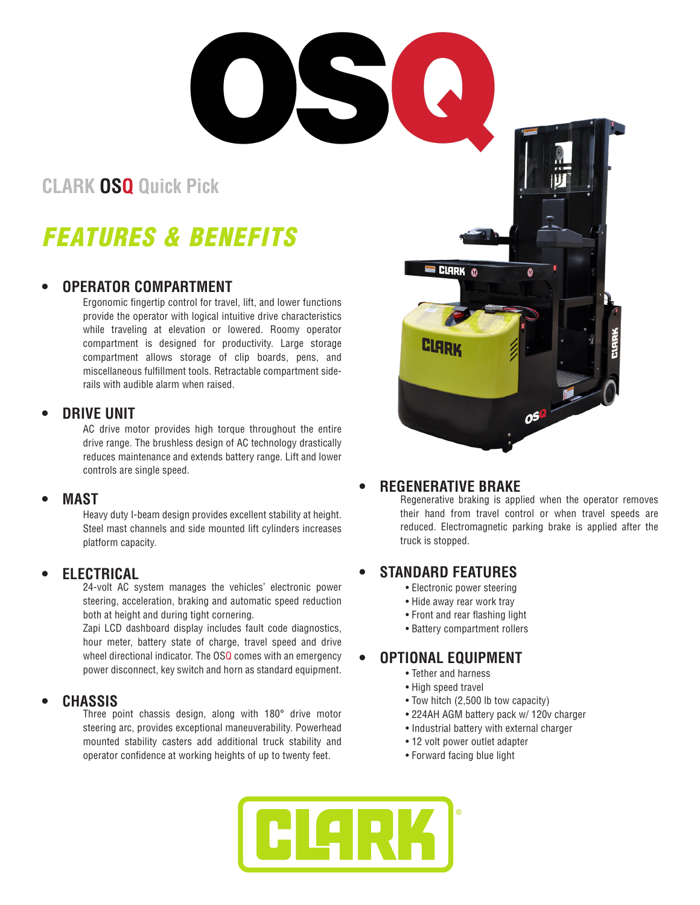**CLARK OSQ Quick Pick**

# *FEATURES & BENEFITS*

### **• OPERATOR COMPARTMENT**

Ergonomic fingertip control for travel, lift, and lower functions provide the operator with logical intuitive drive characteristics while traveling at elevation or lowered. Roomy operator compartment is designed for productivity. Large storage compartment allows storage of clip boards, pens, and miscellaneous fulfillment tools. Retractable compartment siderails with audible alarm when raised.

### **• DRIVE UNIT**

AC drive motor provides high torque throughout the entire drive range. The brushless design of AC technology drastically reduces maintenance and extends battery range. Lift and lower controls are single speed.

#### **• MAST**

Heavy duty I-beam design provides excellent stability at height. Steel mast channels and side mounted lift cylinders increases platform capacity.

### **• ELECTRICAL**

24-volt AC system manages the vehicles' electronic power steering, acceleration, braking and automatic speed reduction both at height and during tight cornering.

Zapi LCD dashboard display includes fault code diagnostics, hour meter, battery state of charge, travel speed and drive wheel directional indicator. The OSQ comes with an emergency power disconnect, key switch and horn as standard equipment.

### **• CHASSIS**

Three point chassis design, along with 180° drive motor steering arc, provides exceptional maneuverability. Powerhead mounted stability casters add additional truck stability and operator confidence at working heights of up to twenty feet.



### **• REGENERATIVE BRAKE**

Regenerative braking is applied when the operator removes their hand from travel control or when travel speeds are reduced. Electromagnetic parking brake is applied after the truck is stopped.

# **• STANDARD FEATURES**

- Electronic power steering
- Hide away rear work tray
- Front and rear flashing light
- Battery compartment rollers

# **• OPTIONAL EQUIPMENT**

- Tether and harness
- High speed travel
- Tow hitch (2,500 lb tow capacity)
- 224AH AGM battery pack w/ 120v charger
- Industrial battery with external charger
- 12 volt power outlet adapter
- Forward facing blue light